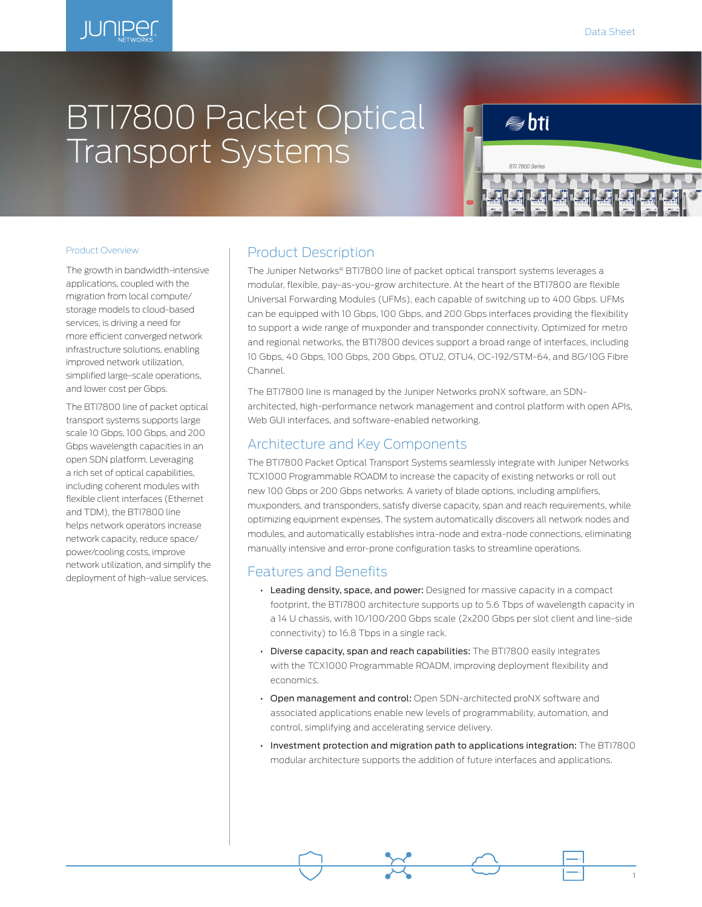1

# BTI7800 Packet Optical Transport Systems



#### Product Overview

The growth in bandwidth-intensive applications, coupled with the migration from local compute/ storage models to cloud-based services, is driving a need for more efficient converged network infrastructure solutions, enabling improved network utilization, simplified large-scale operations, and lower cost per Gbps.

The BTI7800 line of packet optical transport systems supports large scale 10 Gbps, 100 Gbps, and 200 Gbps wavelength capacities in an open SDN platform. Leveraging a rich set of optical capabilities, including coherent modules with flexible client interfaces (Ethernet and TDM), the BTI7800 line helps network operators increase network capacity, reduce space/ power/cooling costs, improve network utilization, and simplify the deployment of high-value services.

## Product Description

The Juniper Networks® BTI7800 line of packet optical transport systems leverages a modular, flexible, pay-as-you-grow architecture. At the heart of the BTI7800 are flexible Universal Forwarding Modules (UFMs), each capable of switching up to 400 Gbps. UFMs can be equipped with 10 Gbps, 100 Gbps, and 200 Gbps interfaces providing the flexibility to support a wide range of muxponder and transponder connectivity. Optimized for metro and regional networks, the BTI7800 devices support a broad range of interfaces, including 10 Gbps, 40 Gbps, 100 Gbps, 200 Gbps, OTU2, OTU4, OC-192/STM-64, and 8G/10G Fibre Channel.

The BTI7800 line is managed by the Juniper Networks proNX software, an SDNarchitected, high-performance network management and control platform with open APIs, Web GUI interfaces, and software-enabled networking.

## Architecture and Key Components

The BTI7800 Packet Optical Transport Systems seamlessly integrate with Juniper Networks TCX1000 Programmable ROADM to increase the capacity of existing networks or roll out new 100 Gbps or 200 Gbps networks. A variety of blade options, including amplifiers, muxponders, and transponders, satisfy diverse capacity, span and reach requirements, while optimizing equipment expenses. The system automatically discovers all network nodes and modules, and automatically establishes intra-node and extra-node connections, eliminating manually intensive and error-prone configuration tasks to streamline operations.

## Features and Benefits

- Leading density, space, and power: Designed for massive capacity in a compact footprint, the BTI7800 architecture supports up to 5.6 Tbps of wavelength capacity in a 14 U chassis, with 10/100/200 Gbps scale (2x200 Gbps per slot client and line-side connectivity) to 16.8 Tbps in a single rack.
- Diverse capacity, span and reach capabilities: The BTI7800 easily integrates with the TCX1000 Programmable ROADM, improving deployment flexibility and economics.
- Open management and control: Open SDN-architected proNX software and associated applications enable new levels of programmability, automation, and control, simplifying and accelerating service delivery.
- Investment protection and migration path to applications integration: The BTI7800 modular architecture supports the addition of future interfaces and applications.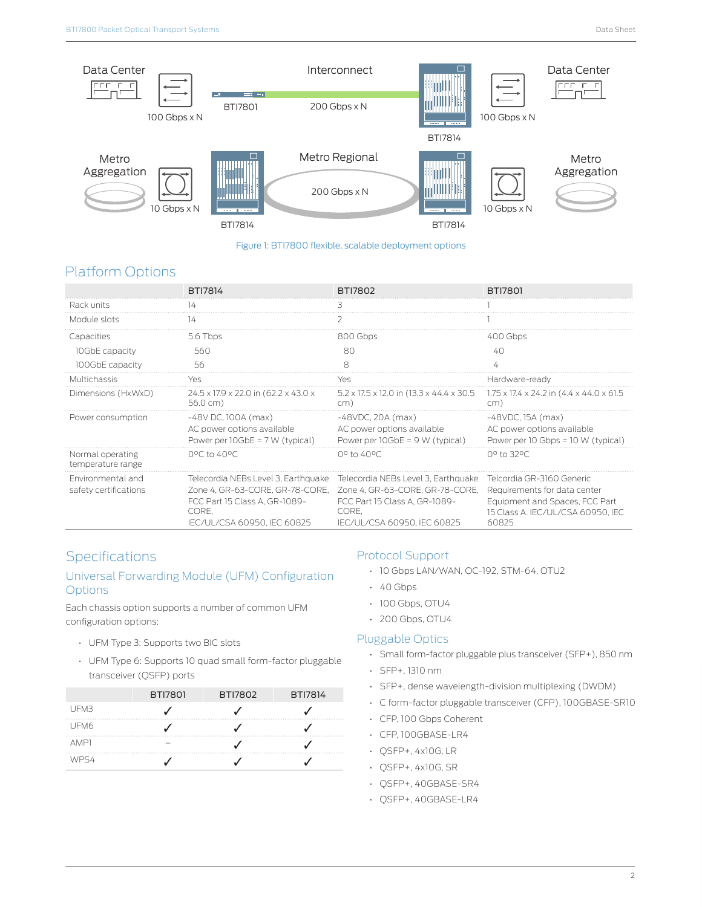

#### Figure 1: BTI7800 flexible, scalable deployment options

# Platform Options

|                                            | <b>BTI7814</b>                                                                                                                                  | <b>BTI7802</b>                                                                                                                                  | <b>BTI7801</b>                                                                                                                            |
|--------------------------------------------|-------------------------------------------------------------------------------------------------------------------------------------------------|-------------------------------------------------------------------------------------------------------------------------------------------------|-------------------------------------------------------------------------------------------------------------------------------------------|
| Rack units                                 | 14                                                                                                                                              | R                                                                                                                                               |                                                                                                                                           |
| Module slots                               | 14                                                                                                                                              |                                                                                                                                                 |                                                                                                                                           |
| Capacities                                 | $5.6$ Thps                                                                                                                                      | $800$ Gbps                                                                                                                                      | 400 Gbps                                                                                                                                  |
| 10GbE capacity                             | 560                                                                                                                                             | 80                                                                                                                                              | 40                                                                                                                                        |
| 100GbE capacity                            | 56                                                                                                                                              | Я                                                                                                                                               |                                                                                                                                           |
| Multichassis                               | Yes                                                                                                                                             | Yes                                                                                                                                             | Hardware-ready                                                                                                                            |
| Dimensions (HxWxD)                         | 24.5 x 17.9 x 22.0 in (62.2 x 43.0 x<br>$56.0 \text{ cm}$ )                                                                                     | $5.2 \times 17.5 \times 12.0$ in (13.3 x 44.4 x 30.5)<br>cm)                                                                                    | 1.75 x 17.4 x 24.2 in (4.4 x 44.0 x 61.5<br>cm)                                                                                           |
| Power consumption                          | $-48V$ DC, 100A (max)<br>AC power options available<br>Power per $10GbE = 7 W$ (typical)                                                        | $-48$ VDC, 20A (max)<br>AC power options available<br>Power per $10GbE = 9 W$ (typical)                                                         | $-48$ VDC. 15A (max)<br>AC power options available<br>Power per 10 Gbps = 10 W (typical)                                                  |
| Normal operating<br>temperature range      | 0°C to 40°C                                                                                                                                     | $0^{\circ}$ to 40%                                                                                                                              | 0º to 32ºC                                                                                                                                |
| Fnvironmental and<br>safety certifications | Telecordia NEBs Level 3, Earthquake<br>Zone 4. GR-63-CORE, GR-78-CORE,<br>FCC Part 15 Class A. GR-1089-<br>CORE.<br>IEC/UL/CSA 60950. IEC 60825 | Telecordia NEBs Level 3, Earthquake<br>Zone 4. GR-63-CORE, GR-78-CORE,<br>FCC Part 15 Class A. GR-1089-<br>CORE.<br>IEC/UL/CSA 60950. IEC 60825 | Telcordia GR-3160 Generic<br>Requirements for data center<br>Equipment and Spaces, FCC Part<br>15 Class A. IEC/UL/CSA 60950, IEC<br>60825 |

# Specifications

## Universal Forwarding Module (UFM) Configuration **Options**

Each chassis option supports a number of common UFM configuration options:

- UFM Type 3: Supports two BIC slots
- UFM Type 6: Supports 10 quad small form-factor pluggable transceiver (QSFP) ports

|      | <b>BTI7801</b> | <b>BTI7802</b> | <b>BTI7814</b> |
|------|----------------|----------------|----------------|
| UFM3 |                |                |                |
| UFM6 |                |                |                |
| AMP1 |                |                |                |
| WPS4 |                |                |                |

## Protocol Support

- 10 Gbps LAN/WAN, OC-192, STM-64, OTU2
- 40 Gbps
- 100 Gbps, OTU4
- 200 Gbps, OTU4

### Pluggable Optics

- Small form-factor pluggable plus transceiver (SFP+), 850 nm
- SFP+, 1310 nm
- SFP+, dense wavelength-division multiplexing (DWDM)
- C form-factor pluggable transceiver (CFP), 100GBASE-SR10
- CFP, 100 Gbps Coherent
- CFP, 100GBASE-LR4
- QSFP+, 4x10G, LR
- QSFP+, 4x10G, SR
- QSFP+, 40GBASE-SR4
- QSFP+, 40GBASE-LR4